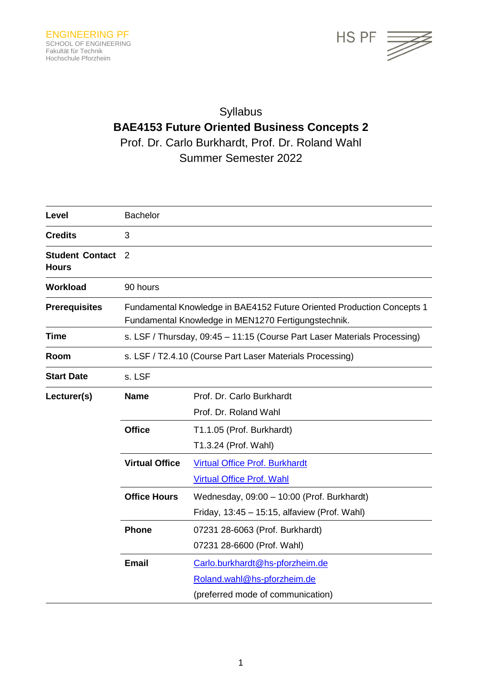

# Syllabus **BAE4153 Future Oriented Business Concepts 2** Prof. Dr. Carlo Burkhardt, Prof. Dr. Roland Wahl Summer Semester 2022

| Level                                  | <b>Bachelor</b>                                                                                                               |                                              |  |
|----------------------------------------|-------------------------------------------------------------------------------------------------------------------------------|----------------------------------------------|--|
| <b>Credits</b>                         | 3                                                                                                                             |                                              |  |
| <b>Student Contact</b><br><b>Hours</b> | 2                                                                                                                             |                                              |  |
| <b>Workload</b>                        | 90 hours                                                                                                                      |                                              |  |
| <b>Prerequisites</b>                   | Fundamental Knowledge in BAE4152 Future Oriented Production Concepts 1<br>Fundamental Knowledge in MEN1270 Fertigungstechnik. |                                              |  |
| <b>Time</b>                            | s. LSF / Thursday, 09:45 - 11:15 (Course Part Laser Materials Processing)                                                     |                                              |  |
| Room                                   | s. LSF / T2.4.10 (Course Part Laser Materials Processing)                                                                     |                                              |  |
| <b>Start Date</b>                      | s. LSF                                                                                                                        |                                              |  |
| Lecturer(s)                            | <b>Name</b>                                                                                                                   | Prof. Dr. Carlo Burkhardt                    |  |
|                                        |                                                                                                                               | Prof. Dr. Roland Wahl                        |  |
|                                        | <b>Office</b>                                                                                                                 | T1.1.05 (Prof. Burkhardt)                    |  |
|                                        |                                                                                                                               | T1.3.24 (Prof. Wahl)                         |  |
|                                        | <b>Virtual Office</b>                                                                                                         | <b>Virtual Office Prof. Burkhardt</b>        |  |
|                                        |                                                                                                                               | <b>Virtual Office Prof. Wahl</b>             |  |
|                                        | <b>Office Hours</b>                                                                                                           | Wednesday, 09:00 - 10:00 (Prof. Burkhardt)   |  |
|                                        |                                                                                                                               | Friday, 13:45 - 15:15, alfaview (Prof. Wahl) |  |
|                                        | <b>Phone</b>                                                                                                                  | 07231 28-6063 (Prof. Burkhardt)              |  |
|                                        |                                                                                                                               | 07231 28-6600 (Prof. Wahl)                   |  |
|                                        | <b>Email</b>                                                                                                                  | Carlo.burkhardt@hs-pforzheim.de              |  |
|                                        |                                                                                                                               | Roland.wahl@hs-pforzheim.de                  |  |
|                                        |                                                                                                                               | (preferred mode of communication)            |  |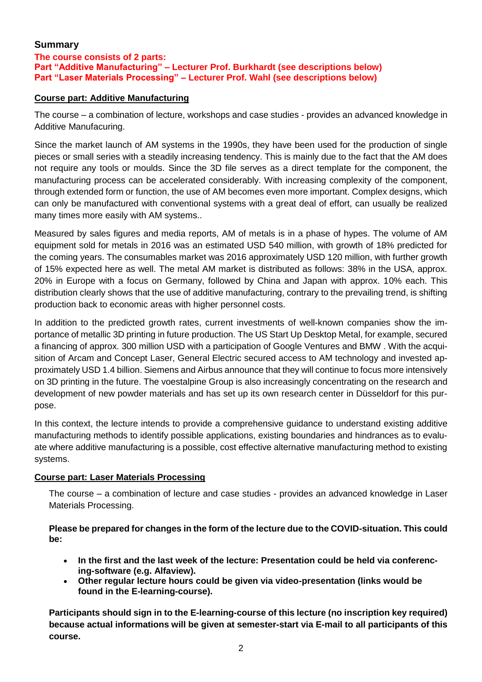## **Summary**

## **The course consists of 2 parts: Part "Additive Manufacturing" – Lecturer Prof. Burkhardt (see descriptions below) Part "Laser Materials Processing" – Lecturer Prof. Wahl (see descriptions below)**

## **Course part: Additive Manufacturing**

The course – a combination of lecture, workshops and case studies - provides an advanced knowledge in Additive Manufacuring.

Since the market launch of AM systems in the 1990s, they have been used for the production of single pieces or small series with a steadily increasing tendency. This is mainly due to the fact that the AM does not require any tools or moulds. Since the 3D file serves as a direct template for the component, the manufacturing process can be accelerated considerably. With increasing complexity of the component, through extended form or function, the use of AM becomes even more important. Complex designs, which can only be manufactured with conventional systems with a great deal of effort, can usually be realized many times more easily with AM systems..

Measured by sales figures and media reports, AM of metals is in a phase of hypes. The volume of AM equipment sold for metals in 2016 was an estimated USD 540 million, with growth of 18% predicted for the coming years. The consumables market was 2016 approximately USD 120 million, with further growth of 15% expected here as well. The metal AM market is distributed as follows: 38% in the USA, approx. 20% in Europe with a focus on Germany, followed by China and Japan with approx. 10% each. This distribution clearly shows that the use of additive manufacturing, contrary to the prevailing trend, is shifting production back to economic areas with higher personnel costs.

In addition to the predicted growth rates, current investments of well-known companies show the importance of metallic 3D printing in future production. The US Start Up Desktop Metal, for example, secured a financing of approx. 300 million USD with a participation of Google Ventures and BMW . With the acquisition of Arcam and Concept Laser, General Electric secured access to AM technology and invested approximately USD 1.4 billion. Siemens and Airbus announce that they will continue to focus more intensively on 3D printing in the future. The voestalpine Group is also increasingly concentrating on the research and development of new powder materials and has set up its own research center in Düsseldorf for this purpose.

In this context, the lecture intends to provide a comprehensive guidance to understand existing additive manufacturing methods to identify possible applications, existing boundaries and hindrances as to evaluate where additive manufacturing is a possible, cost effective alternative manufacturing method to existing systems.

#### **Course part: Laser Materials Processing**

The course – a combination of lecture and case studies - provides an advanced knowledge in Laser Materials Processing.

**Please be prepared for changes in the form of the lecture due to the COVID-situation. This could be:**

- **In the first and the last week of the lecture: Presentation could be held via conferencing-software (e.g. Alfaview).**
- **Other regular lecture hours could be given via video-presentation (links would be found in the E-learning-course).**

**Participants should sign in to the E-learning-course of this lecture (no inscription key required) because actual informations will be given at semester-start via E-mail to all participants of this course.**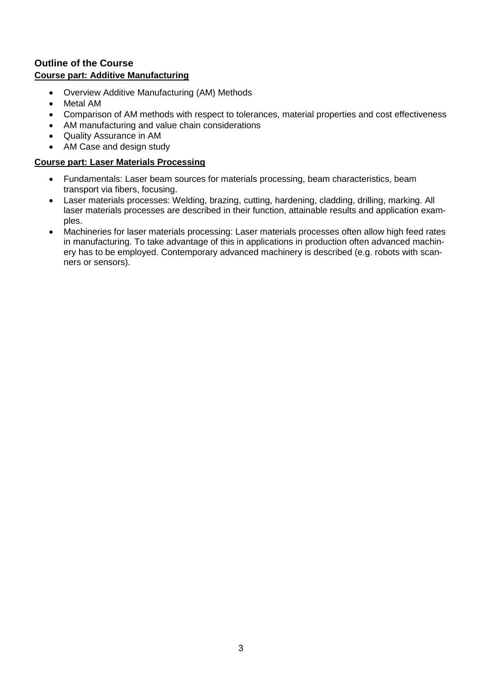## **Outline of the Course Course part: Additive Manufacturing**

- Overview Additive Manufacturing (AM) Methods
- Metal AM
- Comparison of AM methods with respect to tolerances, material properties and cost effectiveness
- AM manufacturing and value chain considerations
- Quality Assurance in AM
- AM Case and design study

#### **Course part: Laser Materials Processing**

- Fundamentals: Laser beam sources for materials processing, beam characteristics, beam transport via fibers, focusing.
- Laser materials processes: Welding, brazing, cutting, hardening, cladding, drilling, marking. All laser materials processes are described in their function, attainable results and application examples.
- Machineries for laser materials processing: Laser materials processes often allow high feed rates in manufacturing. To take advantage of this in applications in production often advanced machinery has to be employed. Contemporary advanced machinery is described (e.g. robots with scanners or sensors).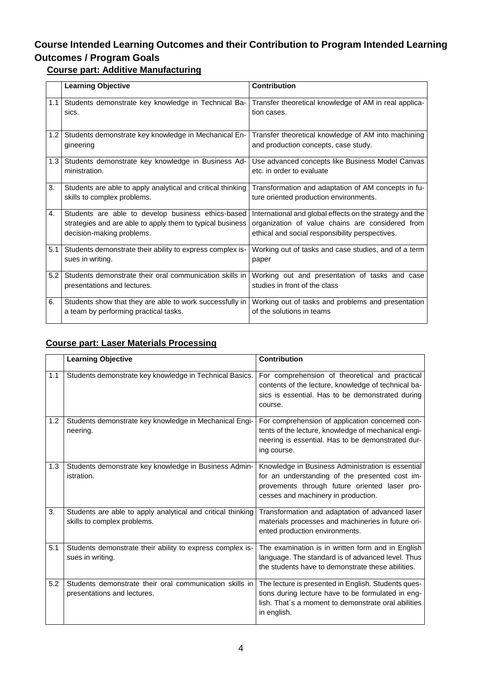# **Course Intended Learning Outcomes and their Contribution to Program Intended Learning Outcomes / Program Goals**

# **Course part: Additive Manufacturing**

|            | <b>Learning Objective</b>                                                                                                                    | <b>Contribution</b>                                                                                                                                             |
|------------|----------------------------------------------------------------------------------------------------------------------------------------------|-----------------------------------------------------------------------------------------------------------------------------------------------------------------|
| 1.1        | Students demonstrate key knowledge in Technical Ba-<br>sics.                                                                                 | Transfer theoretical knowledge of AM in real applica-<br>tion cases.                                                                                            |
| 1.2        | Students demonstrate key knowledge in Mechanical En-<br>gineering                                                                            | Transfer theoretical knowledge of AM into machining<br>and production concepts, case study.                                                                     |
| $1.3 \mid$ | Students demonstrate key knowledge in Business Ad-<br>ministration.                                                                          | Use advanced concepts like Business Model Canvas<br>etc. in order to evaluate                                                                                   |
| 3.         | Students are able to apply analytical and critical thinking<br>skills to complex problems.                                                   | Transformation and adaptation of AM concepts in fu-<br>ture oriented production environments.                                                                   |
| 4.         | Students are able to develop business ethics-based<br>strategies and are able to apply them to typical business<br>decision-making problems. | International and global effects on the strategy and the<br>organization of value chains are considered from<br>ethical and social responsibility perspectives. |
| 5.1        | Students demonstrate their ability to express complex is-<br>sues in writing.                                                                | Working out of tasks and case studies, and of a term<br>paper                                                                                                   |
| 5.2        | Students demonstrate their oral communication skills in<br>presentations and lectures.                                                       | Working out and presentation of tasks and case<br>studies in front of the class                                                                                 |
| 6.         | Students show that they are able to work successfully in<br>a team by performing practical tasks.                                            | Working out of tasks and problems and presentation<br>of the solutions in teams                                                                                 |

# **Course part: Laser Materials Processing**

|     | <b>Learning Objective</b>                                                                  | <b>Contribution</b>                                                                                                                                                                         |
|-----|--------------------------------------------------------------------------------------------|---------------------------------------------------------------------------------------------------------------------------------------------------------------------------------------------|
| 1.1 | Students demonstrate key knowledge in Technical Basics.                                    | For comprehension of theoretical and practical<br>contents of the lecture, knowledge of technical ba-<br>sics is essential. Has to be demonstrated during<br>course.                        |
| 1.2 | Students demonstrate key knowledge in Mechanical Engi-<br>neering.                         | For comprehension of application concerned con-<br>tents of the lecture, knowledge of mechanical engi-<br>neering is essential. Has to be demonstrated dur-<br>ing course.                  |
| 1.3 | Students demonstrate key knowledge in Business Admin-<br>istration.                        | Knowledge in Business Administration is essential<br>for an understanding of the presented cost im-<br>provements through future oriented laser pro-<br>cesses and machinery in production. |
| 3.  | Students are able to apply analytical and critical thinking<br>skills to complex problems. | Transformation and adaptation of advanced laser<br>materials processes and machineries in future ori-<br>ented production environments.                                                     |
| 5.1 | Students demonstrate their ability to express complex is-<br>sues in writing.              | The examination is in written form and in English<br>language. The standard is of advanced level. Thus<br>the students have to demonstrate these abilities.                                 |
| 5.2 | Students demonstrate their oral communication skills in<br>presentations and lectures.     | The lecture is presented in English. Students ques-<br>tions during lecture have to be formulated in eng-<br>lish. That's a moment to demonstrate oral abilities<br>in english.             |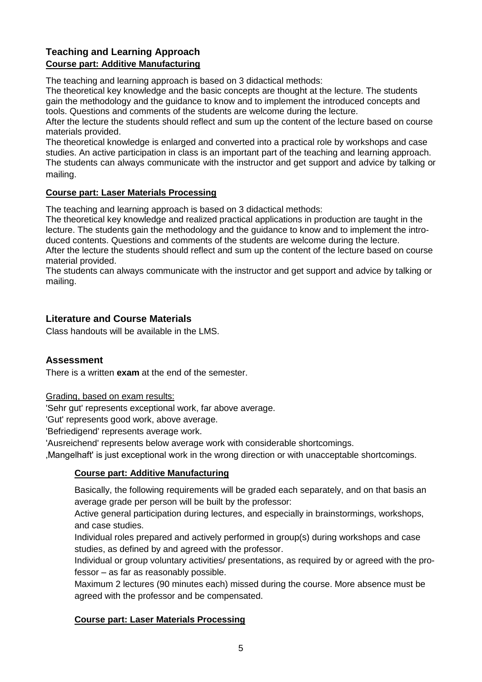# **Teaching and Learning Approach Course part: Additive Manufacturing**

The teaching and learning approach is based on 3 didactical methods:

The theoretical key knowledge and the basic concepts are thought at the lecture. The students gain the methodology and the guidance to know and to implement the introduced concepts and tools. Questions and comments of the students are welcome during the lecture.

After the lecture the students should reflect and sum up the content of the lecture based on course materials provided.

The theoretical knowledge is enlarged and converted into a practical role by workshops and case studies. An active participation in class is an important part of the teaching and learning approach. The students can always communicate with the instructor and get support and advice by talking or mailing.

#### **Course part: Laser Materials Processing**

The teaching and learning approach is based on 3 didactical methods:

The theoretical key knowledge and realized practical applications in production are taught in the lecture. The students gain the methodology and the guidance to know and to implement the introduced contents. Questions and comments of the students are welcome during the lecture. After the lecture the students should reflect and sum up the content of the lecture based on course material provided.

The students can always communicate with the instructor and get support and advice by talking or mailing.

## **Literature and Course Materials**

Class handouts will be available in the LMS.

## **Assessment**

There is a written **exam** at the end of the semester.

Grading, based on exam results:

'Sehr gut' represents exceptional work, far above average.

'Gut' represents good work, above average.

'Befriedigend' represents average work.

'Ausreichend' represents below average work with considerable shortcomings.

'Mangelhaft' is just exceptional work in the wrong direction or with unacceptable shortcomings.

## **Course part: Additive Manufacturing**

Basically, the following requirements will be graded each separately, and on that basis an average grade per person will be built by the professor:

Active general participation during lectures, and especially in brainstormings, workshops, and case studies.

Individual roles prepared and actively performed in group(s) during workshops and case studies, as defined by and agreed with the professor.

Individual or group voluntary activities/ presentations, as required by or agreed with the professor – as far as reasonably possible.

Maximum 2 lectures (90 minutes each) missed during the course. More absence must be agreed with the professor and be compensated.

#### **Course part: Laser Materials Processing**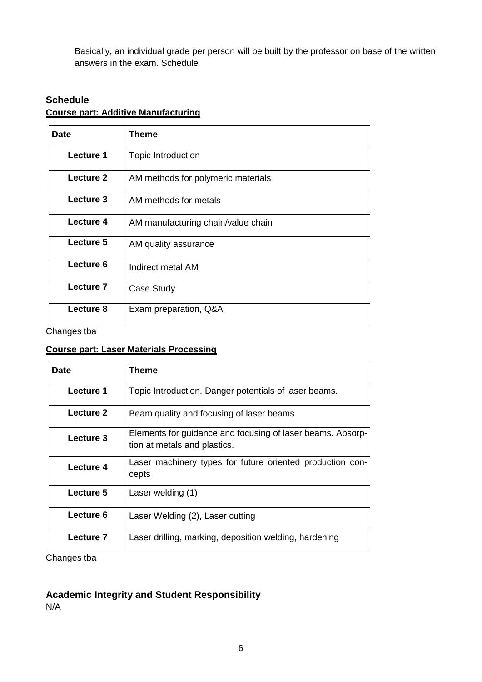Basically, an individual grade per person will be built by the professor on base of the written answers in the exam. Schedule

# **Schedule Course part: Additive Manufacturing**

| <b>Date</b> | Theme                              |
|-------------|------------------------------------|
| Lecture 1   | Topic Introduction                 |
| Lecture 2   | AM methods for polymeric materials |
| Lecture 3   | AM methods for metals              |
| Lecture 4   | AM manufacturing chain/value chain |
| Lecture 5   | AM quality assurance               |
| Lecture 6   | Indirect metal AM                  |
| Lecture 7   | Case Study                         |
| Lecture 8   | Exam preparation, Q&A              |

Changes tba

## **Course part: Laser Materials Processing**

| <b>Date</b>                                                                                     | Theme                                                                                      |
|-------------------------------------------------------------------------------------------------|--------------------------------------------------------------------------------------------|
| Lecture 1                                                                                       | Topic Introduction. Danger potentials of laser beams.                                      |
| Lecture 2                                                                                       | Beam quality and focusing of laser beams                                                   |
| Lecture 3                                                                                       | Elements for guidance and focusing of laser beams. Absorp-<br>tion at metals and plastics. |
| Lecture 4                                                                                       | Laser machinery types for future oriented production con-<br>cepts                         |
| Lecture 5                                                                                       | Laser welding (1)                                                                          |
| Lecture 6                                                                                       | Laser Welding (2), Laser cutting                                                           |
| Lecture 7<br>$\bigcap_{n=1}^{\infty}$ and $\bigcap_{n=1}^{\infty}$ and $\bigcap_{n=1}^{\infty}$ | Laser drilling, marking, deposition welding, hardening                                     |

Changes tba

## **Academic Integrity and Student Responsibility**

N/A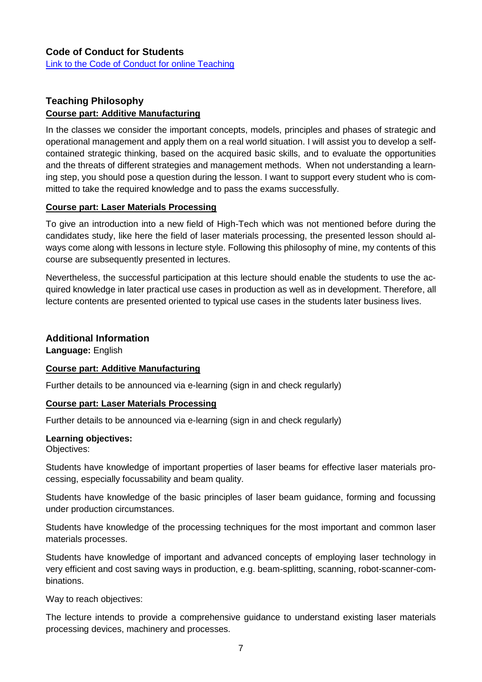# **Teaching Philosophy Course part: Additive Manufacturing**

In the classes we consider the important concepts, models, principles and phases of strategic and operational management and apply them on a real world situation. I will assist you to develop a selfcontained strategic thinking, based on the acquired basic skills, and to evaluate the opportunities and the threats of different strategies and management methods. When not understanding a learning step, you should pose a question during the lesson. I want to support every student who is committed to take the required knowledge and to pass the exams successfully.

## **Course part: Laser Materials Processing**

To give an introduction into a new field of High-Tech which was not mentioned before during the candidates study, like here the field of laser materials processing, the presented lesson should always come along with lessons in lecture style. Following this philosophy of mine, my contents of this course are subsequently presented in lectures.

Nevertheless, the successful participation at this lecture should enable the students to use the acquired knowledge in later practical use cases in production as well as in development. Therefore, all lecture contents are presented oriented to typical use cases in the students later business lives.

## **Additional Information**

**Language:** English

## **Course part: Additive Manufacturing**

Further details to be announced via e-learning (sign in and check regularly)

#### **Course part: Laser Materials Processing**

Further details to be announced via e-learning (sign in and check regularly)

#### **Learning objectives:**

Objectives:

Students have knowledge of important properties of laser beams for effective laser materials processing, especially focussability and beam quality.

Students have knowledge of the basic principles of laser beam guidance, forming and focussing under production circumstances.

Students have knowledge of the processing techniques for the most important and common laser materials processes.

Students have knowledge of important and advanced concepts of employing laser technology in very efficient and cost saving ways in production, e.g. beam-splitting, scanning, robot-scanner-combinations.

Way to reach objectives:

The lecture intends to provide a comprehensive guidance to understand existing laser materials processing devices, machinery and processes.